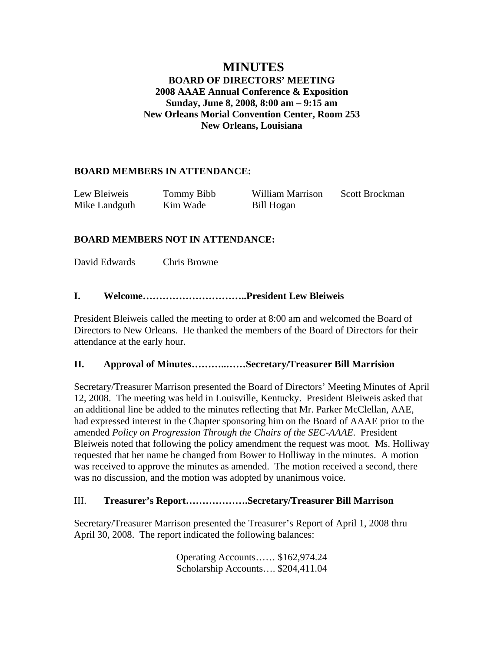## **MINUTES BOARD OF DIRECTORS' MEETING 2008 AAAE Annual Conference & Exposition Sunday, June 8, 2008, 8:00 am – 9:15 am New Orleans Morial Convention Center, Room 253 New Orleans, Louisiana**

## **BOARD MEMBERS IN ATTENDANCE:**

| Lew Bleiweis  | Tommy Bibb | William Marrison | Scott Brockman |
|---------------|------------|------------------|----------------|
| Mike Landguth | Kim Wade   | Bill Hogan       |                |

## **BOARD MEMBERS NOT IN ATTENDANCE:**

David Edwards Chris Browne

## **I. Welcome…………………………..President Lew Bleiweis**

President Bleiweis called the meeting to order at 8:00 am and welcomed the Board of Directors to New Orleans. He thanked the members of the Board of Directors for their attendance at the early hour.

#### **II. Approval of Minutes………..……Secretary/Treasurer Bill Marrision**

Secretary/Treasurer Marrison presented the Board of Directors' Meeting Minutes of April 12, 2008. The meeting was held in Louisville, Kentucky. President Bleiweis asked that an additional line be added to the minutes reflecting that Mr. Parker McClellan, AAE, had expressed interest in the Chapter sponsoring him on the Board of AAAE prior to the amended *Policy on Progression Through the Chairs of the SEC-AAAE*. President Bleiweis noted that following the policy amendment the request was moot. Ms. Holliway requested that her name be changed from Bower to Holliway in the minutes. A motion was received to approve the minutes as amended. The motion received a second, there was no discussion, and the motion was adopted by unanimous voice.

## III. **Treasurer's Report……………….Secretary/Treasurer Bill Marrison**

Secretary/Treasurer Marrison presented the Treasurer's Report of April 1, 2008 thru April 30, 2008. The report indicated the following balances:

> Operating Accounts…… \$162,974.24 Scholarship Accounts…. \$204,411.04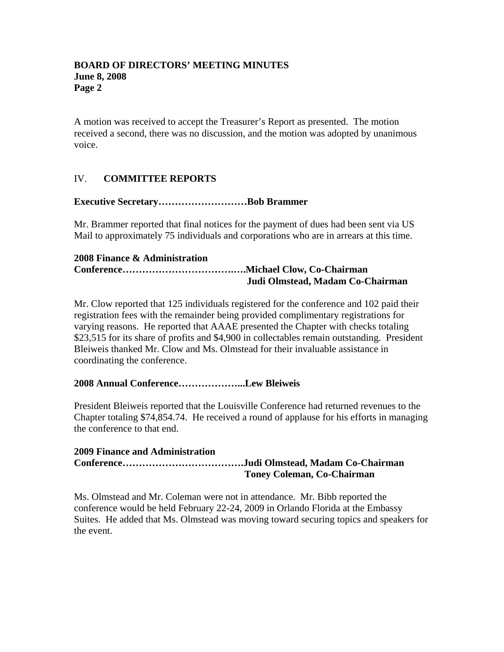A motion was received to accept the Treasurer's Report as presented. The motion received a second, there was no discussion, and the motion was adopted by unanimous voice.

# IV. **COMMITTEE REPORTS**

#### **Executive Secretary………………………Bob Brammer**

Mr. Brammer reported that final notices for the payment of dues had been sent via US Mail to approximately 75 individuals and corporations who are in arrears at this time.

#### **2008 Finance & Administration**

## **Conference…………………………….….Michael Clow, Co-Chairman Judi Olmstead, Madam Co-Chairman**

Mr. Clow reported that 125 individuals registered for the conference and 102 paid their registration fees with the remainder being provided complimentary registrations for varying reasons. He reported that AAAE presented the Chapter with checks totaling \$23,515 for its share of profits and \$4,900 in collectables remain outstanding. President Bleiweis thanked Mr. Clow and Ms. Olmstead for their invaluable assistance in coordinating the conference.

#### **2008 Annual Conference………………...Lew Bleiweis**

President Bleiweis reported that the Louisville Conference had returned revenues to the Chapter totaling \$74,854.74. He received a round of applause for his efforts in managing the conference to that end.

#### **2009 Finance and Administration Conference……………………………….Judi Olmstead, Madam Co-Chairman Toney Coleman, Co-Chairman**

Ms. Olmstead and Mr. Coleman were not in attendance. Mr. Bibb reported the conference would be held February 22-24, 2009 in Orlando Florida at the Embassy Suites. He added that Ms. Olmstead was moving toward securing topics and speakers for the event.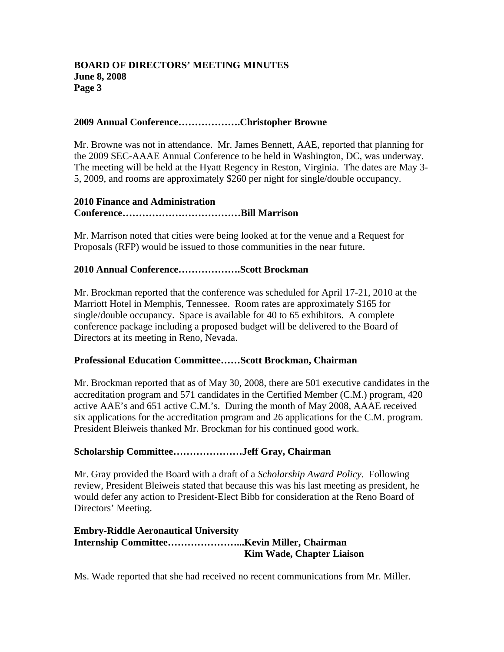#### **2009 Annual Conference……………….Christopher Browne**

Mr. Browne was not in attendance. Mr. James Bennett, AAE, reported that planning for the 2009 SEC-AAAE Annual Conference to be held in Washington, DC, was underway. The meeting will be held at the Hyatt Regency in Reston, Virginia. The dates are May 3- 5, 2009, and rooms are approximately \$260 per night for single/double occupancy.

#### **2010 Finance and Administration Conference………………………………Bill Marrison**

Mr. Marrison noted that cities were being looked at for the venue and a Request for Proposals (RFP) would be issued to those communities in the near future.

### **2010 Annual Conference……………….Scott Brockman**

Mr. Brockman reported that the conference was scheduled for April 17-21, 2010 at the Marriott Hotel in Memphis, Tennessee. Room rates are approximately \$165 for single/double occupancy. Space is available for 40 to 65 exhibitors. A complete conference package including a proposed budget will be delivered to the Board of Directors at its meeting in Reno, Nevada.

#### **Professional Education Committee……Scott Brockman, Chairman**

Mr. Brockman reported that as of May 30, 2008, there are 501 executive candidates in the accreditation program and 571 candidates in the Certified Member (C.M.) program, 420 active AAE's and 651 active C.M.'s. During the month of May 2008, AAAE received six applications for the accreditation program and 26 applications for the C.M. program. President Bleiweis thanked Mr. Brockman for his continued good work.

#### **Scholarship Committee…………………Jeff Gray, Chairman**

Mr. Gray provided the Board with a draft of a *Scholarship Award Policy*. Following review, President Bleiweis stated that because this was his last meeting as president, he would defer any action to President-Elect Bibb for consideration at the Reno Board of Directors' Meeting.

#### **Embry-Riddle Aeronautical University Internship Committee…………………...Kevin Miller, Chairman Kim Wade, Chapter Liaison**

Ms. Wade reported that she had received no recent communications from Mr. Miller.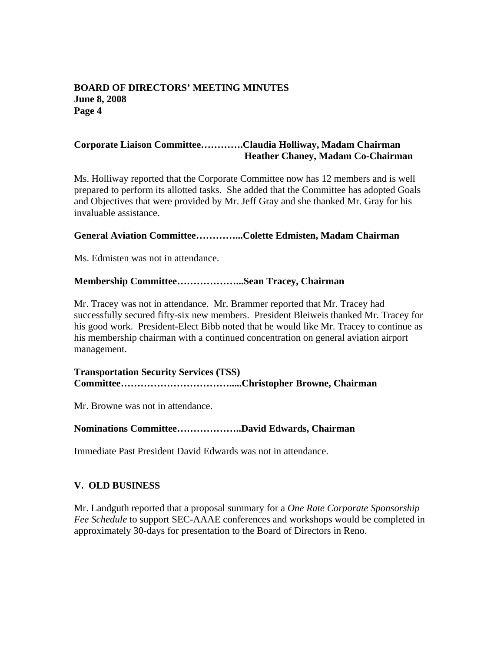### **Corporate Liaison Committee………….Claudia Holliway, Madam Chairman Heather Chaney, Madam Co-Chairman**

Ms. Holliway reported that the Corporate Committee now has 12 members and is well prepared to perform its allotted tasks. She added that the Committee has adopted Goals and Objectives that were provided by Mr. Jeff Gray and she thanked Mr. Gray for his invaluable assistance.

#### **General Aviation Committee…………...Colette Edmisten, Madam Chairman**

Ms. Edmisten was not in attendance.

#### **Membership Committee………………...Sean Tracey, Chairman**

Mr. Tracey was not in attendance. Mr. Brammer reported that Mr. Tracey had successfully secured fifty-six new members. President Bleiweis thanked Mr. Tracey for his good work. President-Elect Bibb noted that he would like Mr. Tracey to continue as his membership chairman with a continued concentration on general aviation airport management.

**Transportation Security Services (TSS) Committee…………………………….....Christopher Browne, Chairman** 

Mr. Browne was not in attendance.

#### **Nominations Committee………………..David Edwards, Chairman**

Immediate Past President David Edwards was not in attendance.

### **V. OLD BUSINESS**

Mr. Landguth reported that a proposal summary for a *One Rate Corporate Sponsorship Fee Schedule* to support SEC-AAAE conferences and workshops would be completed in approximately 30-days for presentation to the Board of Directors in Reno.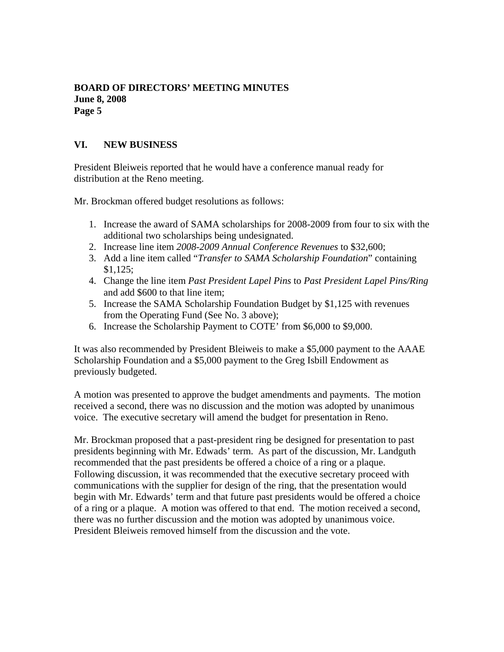## **VI. NEW BUSINESS**

President Bleiweis reported that he would have a conference manual ready for distribution at the Reno meeting.

Mr. Brockman offered budget resolutions as follows:

- 1. Increase the award of SAMA scholarships for 2008-2009 from four to six with the additional two scholarships being undesignated.
- 2. Increase line item *2008-2009 Annual Conference Revenues* to \$32,600;
- 3. Add a line item called "*Transfer to SAMA Scholarship Foundation*" containing \$1,125;
- 4. Change the line item *Past President Lapel Pins* to *Past President Lapel Pins/Ring* and add \$600 to that line item;
- 5. Increase the SAMA Scholarship Foundation Budget by \$1,125 with revenues from the Operating Fund (See No. 3 above);
- 6. Increase the Scholarship Payment to COTE' from \$6,000 to \$9,000.

It was also recommended by President Bleiweis to make a \$5,000 payment to the AAAE Scholarship Foundation and a \$5,000 payment to the Greg Isbill Endowment as previously budgeted.

A motion was presented to approve the budget amendments and payments. The motion received a second, there was no discussion and the motion was adopted by unanimous voice. The executive secretary will amend the budget for presentation in Reno.

Mr. Brockman proposed that a past-president ring be designed for presentation to past presidents beginning with Mr. Edwads' term. As part of the discussion, Mr. Landguth recommended that the past presidents be offered a choice of a ring or a plaque. Following discussion, it was recommended that the executive secretary proceed with communications with the supplier for design of the ring, that the presentation would begin with Mr. Edwards' term and that future past presidents would be offered a choice of a ring or a plaque. A motion was offered to that end. The motion received a second, there was no further discussion and the motion was adopted by unanimous voice. President Bleiweis removed himself from the discussion and the vote.